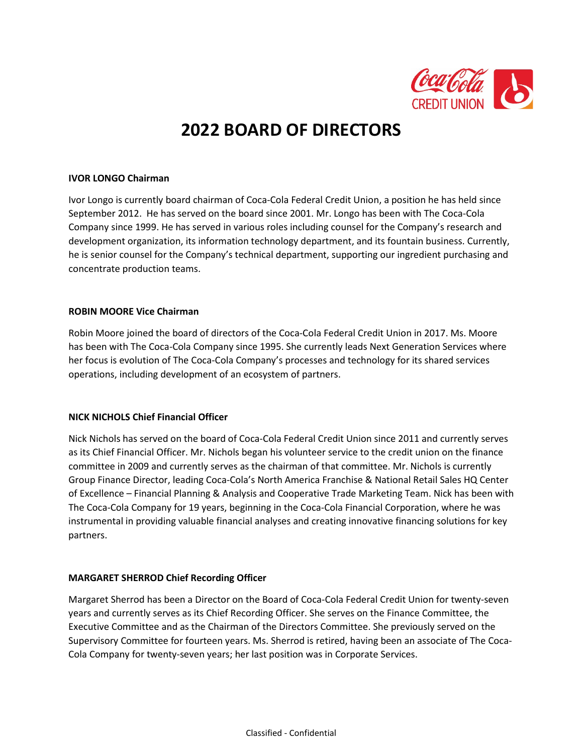

# **2022 BOARD OF DIRECTORS**

#### **IVOR LONGO Chairman**

Ivor Longo is currently board chairman of Coca-Cola Federal Credit Union, a position he has held since September 2012. He has served on the board since 2001. Mr. Longo has been with The Coca-Cola Company since 1999. He has served in various roles including counsel for the Company's research and development organization, its information technology department, and its fountain business. Currently, he is senior counsel for the Company's technical department, supporting our ingredient purchasing and concentrate production teams.

# **ROBIN MOORE Vice Chairman**

Robin Moore joined the board of directors of the Coca-Cola Federal Credit Union in 2017. Ms. Moore has been with The Coca-Cola Company since 1995. She currently leads Next Generation Services where her focus is evolution of The Coca-Cola Company's processes and technology for its shared services operations, including development of an ecosystem of partners.

# **NICK NICHOLS Chief Financial Officer**

Nick Nichols has served on the board of Coca-Cola Federal Credit Union since 2011 and currently serves as its Chief Financial Officer. Mr. Nichols began his volunteer service to the credit union on the finance committee in 2009 and currently serves as the chairman of that committee. Mr. Nichols is currently Group Finance Director, leading Coca-Cola's North America Franchise & National Retail Sales HQ Center of Excellence – Financial Planning & Analysis and Cooperative Trade Marketing Team. Nick has been with The Coca-Cola Company for 19 years, beginning in the Coca-Cola Financial Corporation, where he was instrumental in providing valuable financial analyses and creating innovative financing solutions for key partners.

# **MARGARET SHERROD Chief Recording Officer**

Margaret Sherrod has been a Director on the Board of Coca-Cola Federal Credit Union for twenty-seven years and currently serves as its Chief Recording Officer. She serves on the Finance Committee, the Executive Committee and as the Chairman of the Directors Committee. She previously served on the Supervisory Committee for fourteen years. Ms. Sherrod is retired, having been an associate of The Coca-Cola Company for twenty-seven years; her last position was in Corporate Services.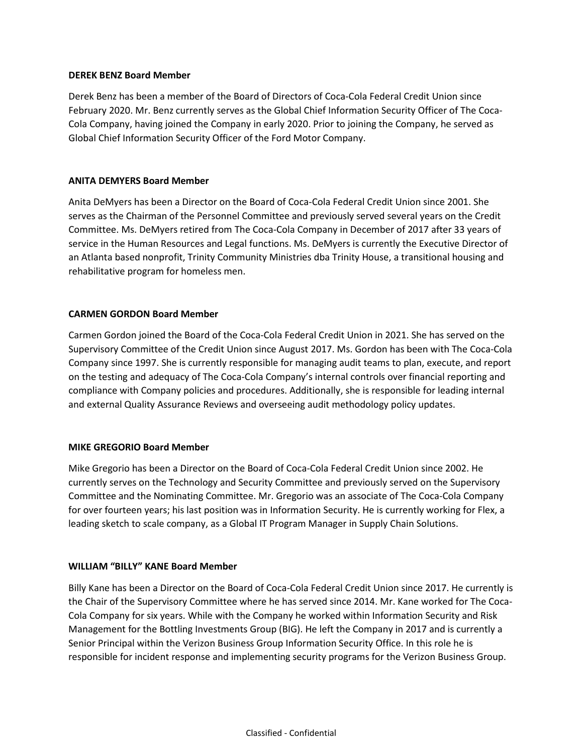#### **DEREK BENZ Board Member**

Derek Benz has been a member of the Board of Directors of Coca-Cola Federal Credit Union since February 2020. Mr. Benz currently serves as the Global Chief Information Security Officer of The Coca-Cola Company, having joined the Company in early 2020. Prior to joining the Company, he served as Global Chief Information Security Officer of the Ford Motor Company.

#### **ANITA DEMYERS Board Member**

Anita DeMyers has been a Director on the Board of Coca-Cola Federal Credit Union since 2001. She serves as the Chairman of the Personnel Committee and previously served several years on the Credit Committee. Ms. DeMyers retired from The Coca-Cola Company in December of 2017 after 33 years of service in the Human Resources and Legal functions. Ms. DeMyers is currently the Executive Director of an Atlanta based nonprofit, Trinity Community Ministries dba Trinity House, a transitional housing and rehabilitative program for homeless men.

# **CARMEN GORDON Board Member**

Carmen Gordon joined the Board of the Coca-Cola Federal Credit Union in 2021. She has served on the Supervisory Committee of the Credit Union since August 2017. Ms. Gordon has been with The Coca-Cola Company since 1997. She is currently responsible for managing audit teams to plan, execute, and report on the testing and adequacy of The Coca-Cola Company's internal controls over financial reporting and compliance with Company policies and procedures. Additionally, she is responsible for leading internal and external Quality Assurance Reviews and overseeing audit methodology policy updates.

# **MIKE GREGORIO Board Member**

Mike Gregorio has been a Director on the Board of Coca-Cola Federal Credit Union since 2002. He currently serves on the Technology and Security Committee and previously served on the Supervisory Committee and the Nominating Committee. Mr. Gregorio was an associate of The Coca-Cola Company for over fourteen years; his last position was in Information Security. He is currently working for Flex, a leading sketch to scale company, as a Global IT Program Manager in Supply Chain Solutions.

#### **WILLIAM "BILLY" KANE Board Member**

Billy Kane has been a Director on the Board of Coca-Cola Federal Credit Union since 2017. He currently is the Chair of the Supervisory Committee where he has served since 2014. Mr. Kane worked for The Coca-Cola Company for six years. While with the Company he worked within Information Security and Risk Management for the Bottling Investments Group (BIG). He left the Company in 2017 and is currently a Senior Principal within the Verizon Business Group Information Security Office. In this role he is responsible for incident response and implementing security programs for the Verizon Business Group.